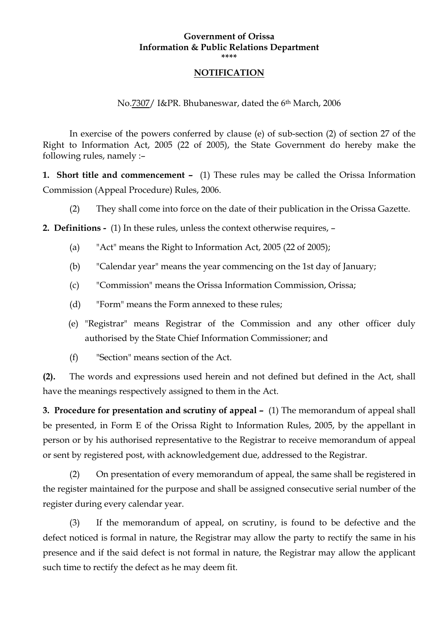## **Government of Orissa Information & Public Relations Department \*\*\*\***

#### **NOTIFICATION**

No.7307/ I&PR. Bhubaneswar, dated the 6th March, 2006

 In exercise of the powers conferred by clause (e) of sub-section (2) of section 27 of the Right to Information Act, 2005 (22 of 2005), the State Government do hereby make the following rules, namely :–

**1. Short title and commencement –** (1) These rules may be called the Orissa Information Commission (Appeal Procedure) Rules, 2006.

(2) They shall come into force on the date of their publication in the Orissa Gazette.

**2. Definitions -** (1) In these rules, unless the context otherwise requires, –

- (a) "Act" means the Right to Information Act, 2005 (22 of 2005);
- (b) "Calendar year" means the year commencing on the 1st day of January;
- (c) "Commission" means the Orissa Information Commission, Orissa;
- (d) "Form" means the Form annexed to these rules;
- (e) "Registrar" means Registrar of the Commission and any other officer duly authorised by the State Chief Information Commissioner; and
- (f) "Section" means section of the Act.

**(2).** The words and expressions used herein and not defined but defined in the Act, shall have the meanings respectively assigned to them in the Act.

**3. Procedure for presentation and scrutiny of appeal –** (1) The memorandum of appeal shall be presented, in Form E of the Orissa Right to Information Rules, 2005, by the appellant in person or by his authorised representative to the Registrar to receive memorandum of appeal or sent by registered post, with acknowledgement due, addressed to the Registrar.

 (2) On presentation of every memorandum of appeal, the same shall be registered in the register maintained for the purpose and shall be assigned consecutive serial number of the register during every calendar year.

 (3) If the memorandum of appeal, on scrutiny, is found to be defective and the defect noticed is formal in nature, the Registrar may allow the party to rectify the same in his presence and if the said defect is not formal in nature, the Registrar may allow the applicant such time to rectify the defect as he may deem fit.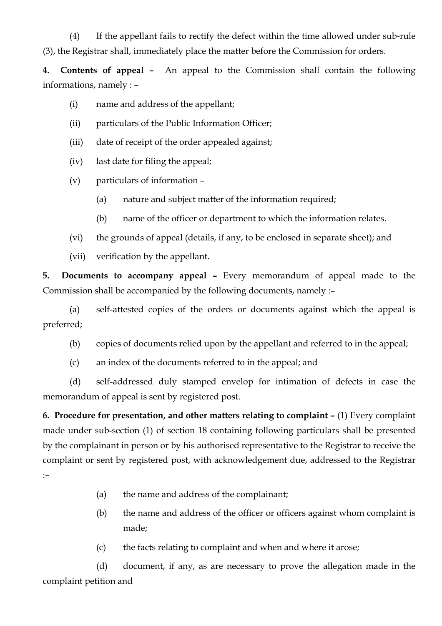(4) If the appellant fails to rectify the defect within the time allowed under sub-rule (3), the Registrar shall, immediately place the matter before the Commission for orders.

**4. Contents of appeal –** An appeal to the Commission shall contain the following informations, namely : –

- (i) name and address of the appellant;
- (ii) particulars of the Public Information Officer;
- (iii) date of receipt of the order appealed against;
- (iv) last date for filing the appeal;
- (v) particulars of information
	- (a) nature and subject matter of the information required;
	- (b) name of the officer or department to which the information relates.
- (vi) the grounds of appeal (details, if any, to be enclosed in separate sheet); and
- (vii) verification by the appellant.

**5. Documents to accompany appeal –** Every memorandum of appeal made to the Commission shall be accompanied by the following documents, namely :–

 (a) self-attested copies of the orders or documents against which the appeal is preferred;

- (b) copies of documents relied upon by the appellant and referred to in the appeal;
- (c) an index of the documents referred to in the appeal; and

 (d) self-addressed duly stamped envelop for intimation of defects in case the memorandum of appeal is sent by registered post.

**6. Procedure for presentation, and other matters relating to complaint –** (1) Every complaint made under sub-section (1) of section 18 containing following particulars shall be presented by the complainant in person or by his authorised representative to the Registrar to receive the complaint or sent by registered post, with acknowledgement due, addressed to the Registrar :–

- (a) the name and address of the complainant;
- (b) the name and address of the officer or officers against whom complaint is made;
- (c) the facts relating to complaint and when and where it arose;

 (d) document, if any, as are necessary to prove the allegation made in the complaint petition and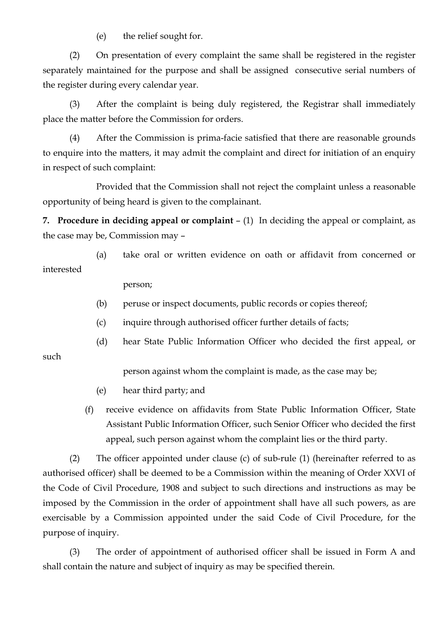(e) the relief sought for.

 (2) On presentation of every complaint the same shall be registered in the register separately maintained for the purpose and shall be assigned consecutive serial numbers of the register during every calendar year.

 (3) After the complaint is being duly registered, the Registrar shall immediately place the matter before the Commission for orders.

 (4) After the Commission is prima-facie satisfied that there are reasonable grounds to enquire into the matters, it may admit the complaint and direct for initiation of an enquiry in respect of such complaint:

 Provided that the Commission shall not reject the complaint unless a reasonable opportunity of being heard is given to the complainant.

**7. Procedure in deciding appeal or complaint** – (1) In deciding the appeal or complaint, as the case may be, Commission may –

 (a) take oral or written evidence on oath or affidavit from concerned or interested

person;

such

- (b) peruse or inspect documents, public records or copies thereof;
- (c) inquire through authorised officer further details of facts;
- (d) hear State Public Information Officer who decided the first appeal, or

person against whom the complaint is made, as the case may be;

- (e) hear third party; and
- (f) receive evidence on affidavits from State Public Information Officer, State Assistant Public Information Officer, such Senior Officer who decided the first appeal, such person against whom the complaint lies or the third party.

 (2) The officer appointed under clause (c) of sub-rule (1) (hereinafter referred to as authorised officer) shall be deemed to be a Commission within the meaning of Order XXVI of the Code of Civil Procedure, 1908 and subject to such directions and instructions as may be imposed by the Commission in the order of appointment shall have all such powers, as are exercisable by a Commission appointed under the said Code of Civil Procedure, for the purpose of inquiry.

 (3) The order of appointment of authorised officer shall be issued in Form A and shall contain the nature and subject of inquiry as may be specified therein.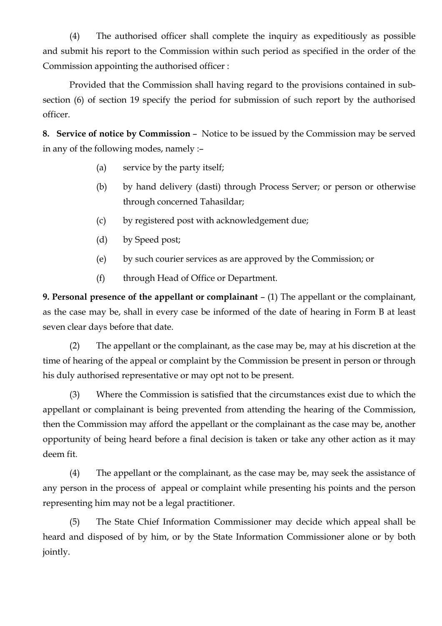(4) The authorised officer shall complete the inquiry as expeditiously as possible and submit his report to the Commission within such period as specified in the order of the Commission appointing the authorised officer :

 Provided that the Commission shall having regard to the provisions contained in subsection (6) of section 19 specify the period for submission of such report by the authorised officer.

**8. Service of notice by Commission** – Notice to be issued by the Commission may be served in any of the following modes, namely :–

- (a) service by the party itself;
- (b) by hand delivery (dasti) through Process Server; or person or otherwise through concerned Tahasildar;
- (c) by registered post with acknowledgement due;
- (d) by Speed post;
- (e) by such courier services as are approved by the Commission; or
- (f) through Head of Office or Department.

**9. Personal presence of the appellant or complainant** – (1) The appellant or the complainant, as the case may be, shall in every case be informed of the date of hearing in Form B at least seven clear days before that date.

 (2) The appellant or the complainant, as the case may be, may at his discretion at the time of hearing of the appeal or complaint by the Commission be present in person or through his duly authorised representative or may opt not to be present.

 (3) Where the Commission is satisfied that the circumstances exist due to which the appellant or complainant is being prevented from attending the hearing of the Commission, then the Commission may afford the appellant or the complainant as the case may be, another opportunity of being heard before a final decision is taken or take any other action as it may deem fit.

 (4) The appellant or the complainant, as the case may be, may seek the assistance of any person in the process of appeal or complaint while presenting his points and the person representing him may not be a legal practitioner.

 (5) The State Chief Information Commissioner may decide which appeal shall be heard and disposed of by him, or by the State Information Commissioner alone or by both jointly.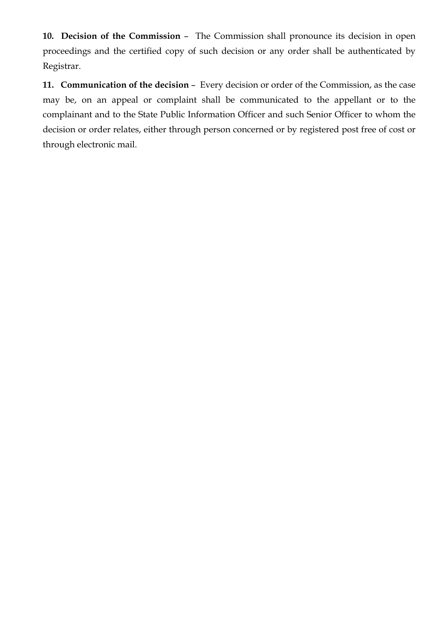**10. Decision of the Commission** – The Commission shall pronounce its decision in open proceedings and the certified copy of such decision or any order shall be authenticated by Registrar.

**11. Communication of the decision** – Every decision or order of the Commission, as the case may be, on an appeal or complaint shall be communicated to the appellant or to the complainant and to the State Public Information Officer and such Senior Officer to whom the decision or order relates, either through person concerned or by registered post free of cost or through electronic mail.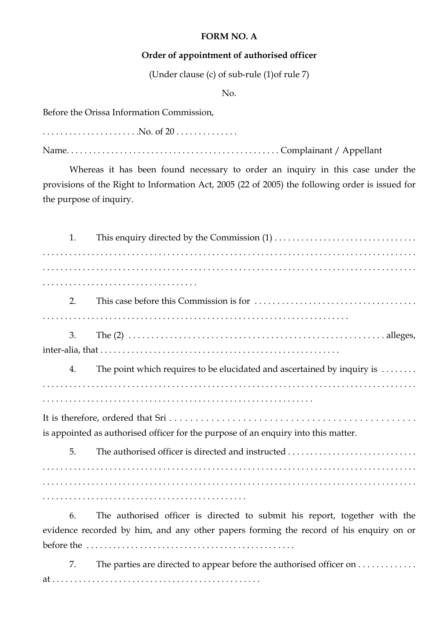## **FORM NO. A**

## **Order of appointment of authorised officer**

(Under clause (c) of sub-rule (1)of rule 7)

No.

Before the Orissa Information Commission,

. . . . . . . . . . . . . . . . . . . . . .No. of 20 . . . . . . . . . . . . . . Name. . . . . . . . . . . . . . . . . . . . . . . . . . . . . . . . . . . . . . . . . . . . . . . . Complainant / Appellant

 Whereas it has been found necessary to order an inquiry in this case under the provisions of the Right to Information Act, 2005 (22 of 2005) the following order is issued for the purpose of inquiry.

| 1. |                                                                                        |
|----|----------------------------------------------------------------------------------------|
|    |                                                                                        |
|    |                                                                                        |
|    |                                                                                        |
| 2. |                                                                                        |
|    |                                                                                        |
| 3. |                                                                                        |
|    |                                                                                        |
| 4. | The point which requires to be elucidated and ascertained by inquiry is                |
|    |                                                                                        |
|    |                                                                                        |
|    |                                                                                        |
|    | is appointed as authorised officer for the purpose of an enquiry into this matter.     |
| 5. | The authorised officer is directed and instructed                                      |
|    |                                                                                        |
|    |                                                                                        |
|    |                                                                                        |
| 6. | The authorised officer is directed to submit his report, together with the             |
|    | evidence recorded by him, and any other papers forming the record of his enquiry on or |
|    |                                                                                        |

7. The parties are directed to appear before the authorised officer on . . . . . . . . . . . . . at . . . . . . . . . . . . . . . . . . . . . . . . . . . . . . . . . . . . . . . . . . . . . . .